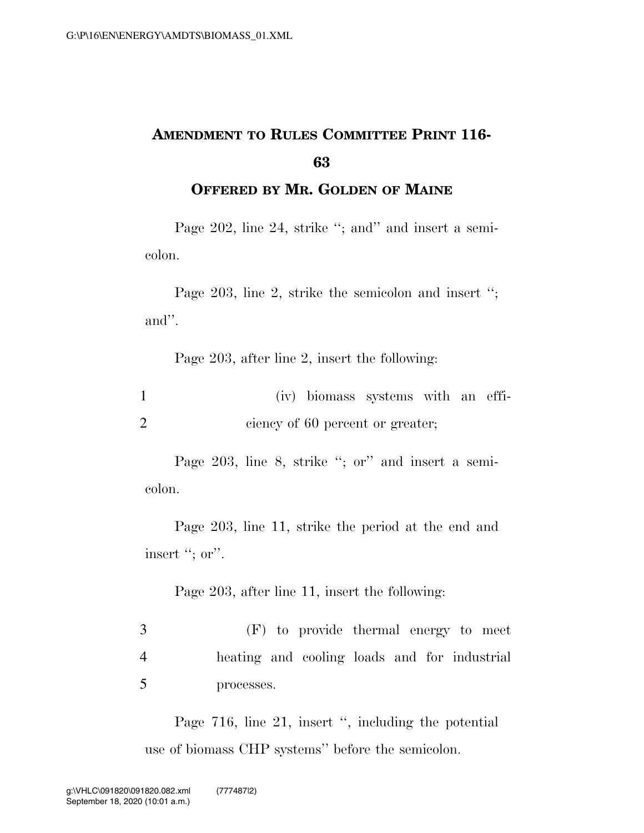## **AMENDMENT TO RULES COMMITTEE PRINT 116- 63**

**OFFERED BY MR. GOLDEN OF MAINE**

Page 202, line 24, strike "; and" and insert a semicolon.

Page 203, line 2, strike the semicolon and insert ''; and''.

Page 203, after line 2, insert the following:

|  | (iv) biomass systems with an effi- |  |  |
|--|------------------------------------|--|--|
|  | ciency of 60 percent or greater;   |  |  |

Page 203, line 8, strike "; or" and insert a semicolon.

Page 203, line 11, strike the period at the end and insert "; or".

Page 203, after line 11, insert the following:

3 (F) to provide thermal energy to meet 4 heating and cooling loads and for industrial 5 processes.

Page 716, line 21, insert '', including the potential use of biomass CHP systems'' before the semicolon.